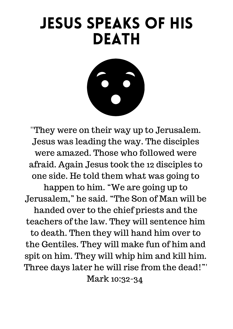## Jesus speaks of His **DEATH**



''They were on their way up to Jerusalem. Jesus was leading the way. The disciples were amazed. Those who followed were afraid. Again Jesus took the 12 disciples to one side. He told them what was going to happen to him. "We are going up to Jerusalem, " he said. "The Son of Man will be handed over to the chief priests and the teachers of the law. They will sentence him to death. Then they will hand him over to the Gentiles. They will make fun of him and spit on him. They will whip him and kill him. Three days later he will rise from the dead!"' Mark 10:32-34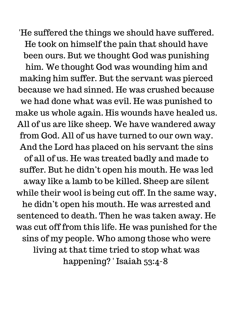'He suffered the things we should have suffered. He took on himself the pain that should have been ours. But we thought God was punishing him. We thought God was wounding him and making him suffer. But the servant was pierced because we had sinned. He was crushed because we had done what was evil. He was punished to make us whole again. His wounds have healed us. All of us are like sheep. We have wandered away from God. All of us have turned to our own way. And the Lord has placed on his servant the sins of all of us. He was treated badly and made to suffer. But he didn't open his mouth. He was led away like a lamb to be killed. Sheep are silent while their wool is being cut off. In the same way, he didn't open his mouth. He was arrested and sentenced to death. Then he was taken away. He was cut off from this life. He was punished for the sins of my people. Who among those who were living at that time tried to stop what was happening? ' Isaiah 53:4-8